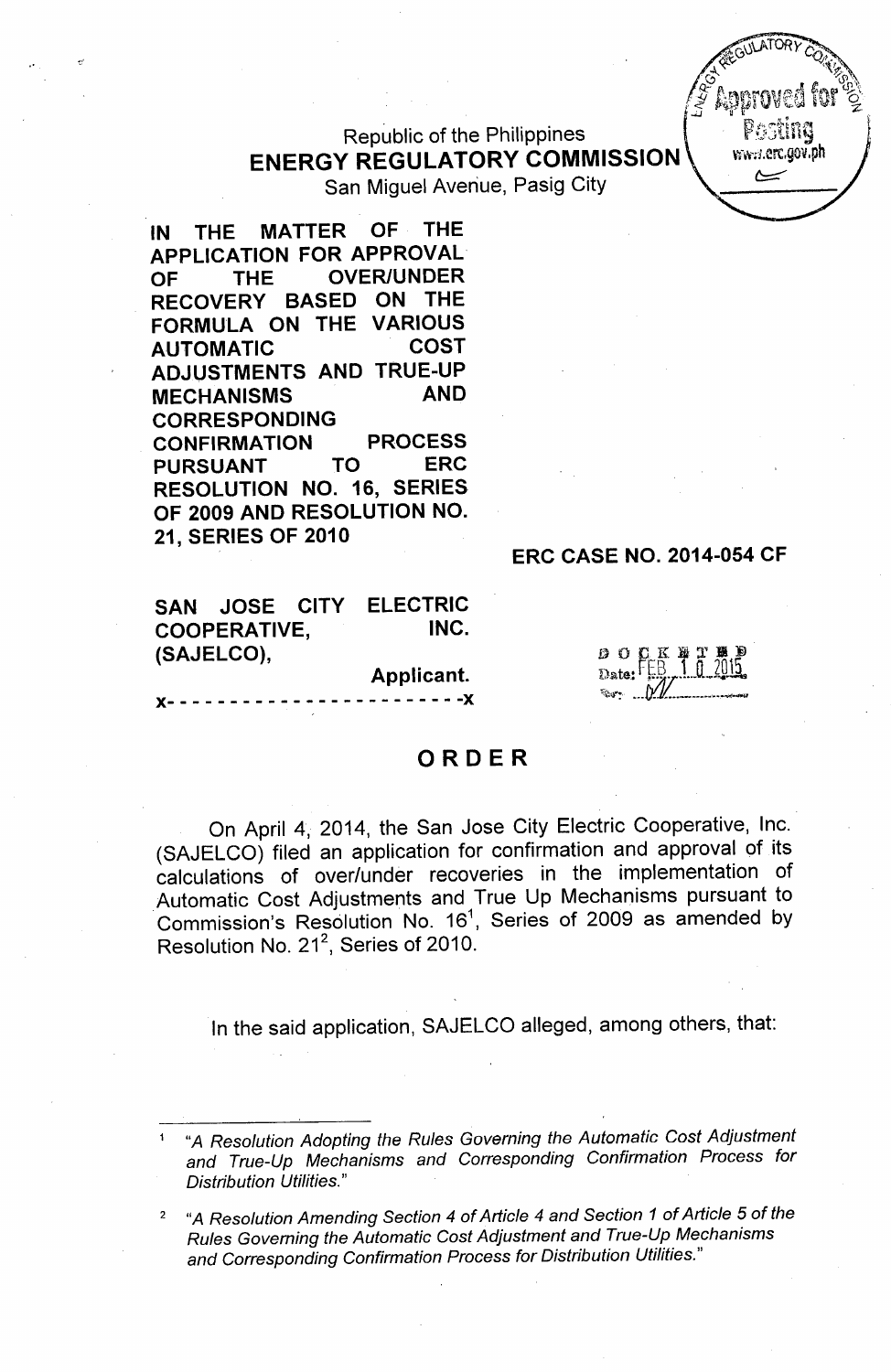# Republic of the Philippines **ENERGY REGULATORY COMMISSION**



San Miguel Avenue, Pasig City

**IN THE MATTER OF THE APPLICATION FOR APPROVAL OF THE OVER/UNDER RECOVERY BASED ON THE FORMULA ON THE VARIOUS AUTOMATIC COST ADJUSTMENTS AND TRUE-UP MECHANISMS AND CORRESPONDING CONFIRMATION PROCESS PURSUANT TO ERC RESOLUTION NO. 16, SERIES OF 2009 AND RESOLUTION NO. 21, SERIES OF 2010**

### **ERC CASE NO. 2014-054 CF**

|                     |            |  | SAN JOSE CITY ELECTRIC |  |
|---------------------|------------|--|------------------------|--|
| <b>COOPERATIVE,</b> |            |  | INC.                   |  |
|                     | (SAJELCO), |  |                        |  |

**Applicant.**

)(- - - - - - - - - - - - - - - - - - - - - - - -)(

## **ORDER**

On April 4, 2014, the San Jose City Electric Cooperative, Inc. (SAJELCO) filed an application for confirmation and approval of its calculations of over/under recoveries in the implementation of Automatic Cost Adjustments and True Up Mechanisms pursuant to Commission's Resolution No.  $16<sup>1</sup>$ , Series of 2009 as amended by Resolution No. 21 $^2$ , Series of 2010

In the said application, SAJELCO alleged, among others, that:

<sup>1</sup> "A *Resolution Adopting the Rules Governing the Automatic Cost Adjustment and True-Up Mechanisms and Corresponding Confirmation Process for Distribution Utilities."*

<sup>2</sup> "A *Resolution Amending Section* 4 of *Article* 4 *and Section* 1 *of Article* 5 of *the Rules Governing the Automatic Cost Adjustment and True-Up Mechanisms and Corresponding Confirmation Process for Distribution Utilities."*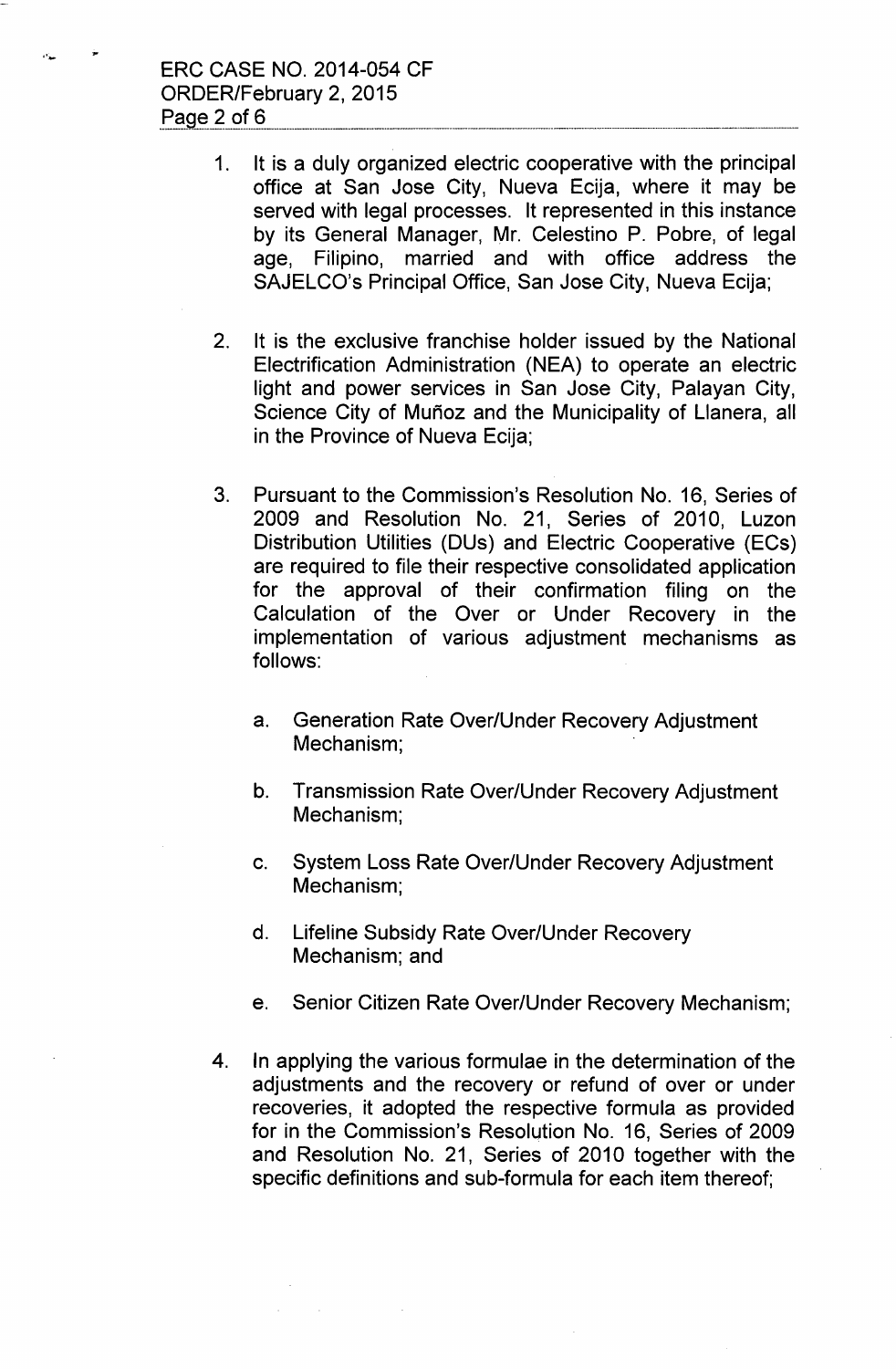ERC CASE NO. 2014-054 CF ORDER/February 2, 2015 Page 2 of 6

ساده

- 1. It is a duly organized electric cooperative with the principal office at San Jose City, Nueva Ecija, where it may be served with legal processes. It represented in this instance by its General Manager, Mr. Celestino P. Pobre, of legal age, Filipino, married and with office address the SAJELCO's Principal Office, San Jose City, Nueva Ecija;
- 2. It is the exclusive franchise holder issued by the National Electrification Administration (NEA) to operate an electric light and power services in San Jose City, Palayan City, Science City of Muñoz and the Municipality of Llanera, all in the Province of Nueva Ecija;
- 3. Pursuant to the Commission's Resolution No. 16, Series of 2009 and Resolution No. 21, Series of 2010, Luzon Distribution Utilities (DUs) and Electric Cooperative (ECs) are required to file their respective consolidated application for the approval of their confirmation filing on the Calculation of the Over or Under Recovery in the implementation of various adjustment mechanisms as follows:
	- a. Generation Rate Over/Under Recovery Adjustment Mechanism;
	- b. Transmission Rate Over/Under Recovery Adjustment Mechanism;
	- c. System Loss Rate Over/Under Recovery Adjustment Mechanism;
	- d. Lifeline Subsidy Rate Over/Under Recovery Mechanism; and
	- e. Senior Citizen Rate Over/Under Recovery Mechanism;
- 4. In applying the various formulae in the determination of the adjustments and the recovery or refund of over or under recoveries, it adopted the respective formula as provided for in the Commission's Resolution No. 16, Series of 2009 and Resolution No. 21, Series of 2010 together with the specific definitions and sub-formula for each item thereof;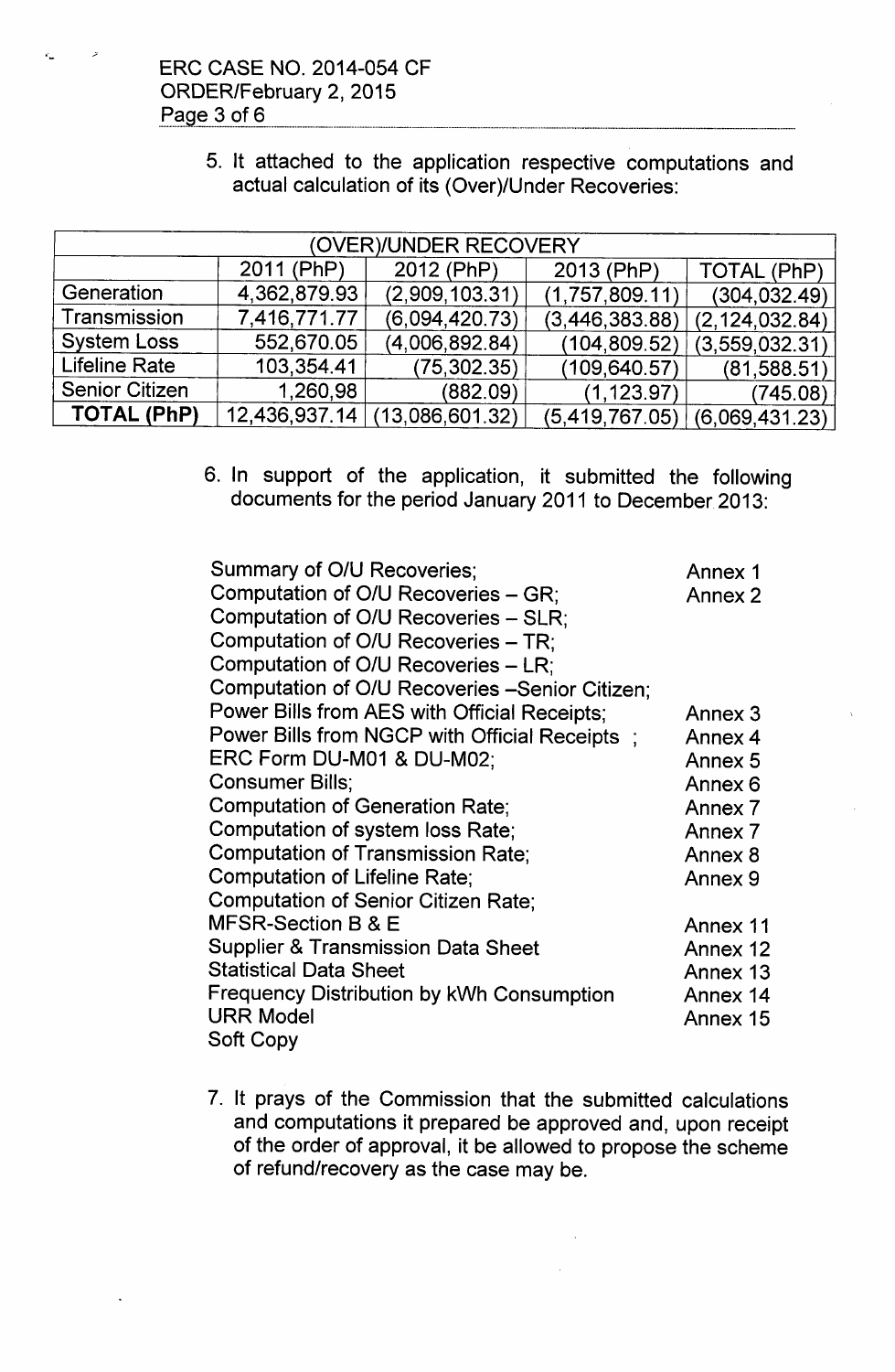ERC CASE NO. 2014-054 CF ORDER/February 2, 2015 Page 3 of 6

'-

5. It attached to the application respective computations and actual calculation of its (Over)/Under Recoveries:

| (OVER)/UNDER RECOVERY |              |                               |                |                    |  |  |
|-----------------------|--------------|-------------------------------|----------------|--------------------|--|--|
|                       | 2011 (PhP)   | 2012 (PhP)                    | 2013 (PhP)     | <b>TOTAL (PhP)</b> |  |  |
| Generation            | 4,362,879.93 | (2,909,103.31)                | (1,757,809.11) | (304, 032.49)      |  |  |
| Transmission          | 7,416,771.77 | (6,094,420.73)                | (3,446,383.88) | (2, 124, 032.84)   |  |  |
| <b>System Loss</b>    | 552,670.05   | (4,006,892.84)                | (104, 809.52)  | (3, 559, 032.31)   |  |  |
| <b>Lifeline Rate</b>  | 103,354.41   | (75, 302.35)                  | (109, 640.57)  | (81, 588.51)       |  |  |
| <b>Senior Citizen</b> | 1,260,98     | (882.09)                      | (1, 123.97)    | (745.08)           |  |  |
| <b>TOTAL (PhP)</b>    |              | 12,436,937.14 (13,086,601.32) | (5,419,767.05) | (6,069,431.23)     |  |  |

6. In support of the application, it submitted the following documents for the period January 2011 to December 2013:

| Summary of O/U Recoveries;                       | Annex 1  |
|--------------------------------------------------|----------|
| Computation of O/U Recoveries - GR;              | Annex 2  |
| Computation of O/U Recoveries - SLR;             |          |
| Computation of O/U Recoveries – TR:              |          |
| Computation of O/U Recoveries - LR;              |          |
| Computation of O/U Recoveries -Senior Citizen;   |          |
| Power Bills from AES with Official Receipts;     | Annex 3  |
| Power Bills from NGCP with Official Receipts;    | Annex 4  |
| ERC Form DU-M01 & DU-M02;                        | Annex 5  |
| Consumer Bills;                                  | Annex 6  |
| <b>Computation of Generation Rate;</b>           | Annex 7  |
| Computation of system loss Rate;                 | Annex 7  |
| Computation of Transmission Rate;                | Annex 8  |
| <b>Computation of Lifeline Rate:</b>             | Annex 9  |
| <b>Computation of Senior Citizen Rate;</b>       |          |
| MFSR-Section B & E                               | Annex 11 |
| <b>Supplier &amp; Transmission Data Sheet</b>    | Annex 12 |
| <b>Statistical Data Sheet</b>                    | Annex 13 |
| <b>Frequency Distribution by kWh Consumption</b> | Annex 14 |
| URR Model                                        | Annex 15 |
| Soft Copy                                        |          |

7. It prays of the Commission that the submitted calculations and computations it prepared be approved and, upon receipt of the order of approval, it be allowed to propose the scheme of refund/recovery as the case may be.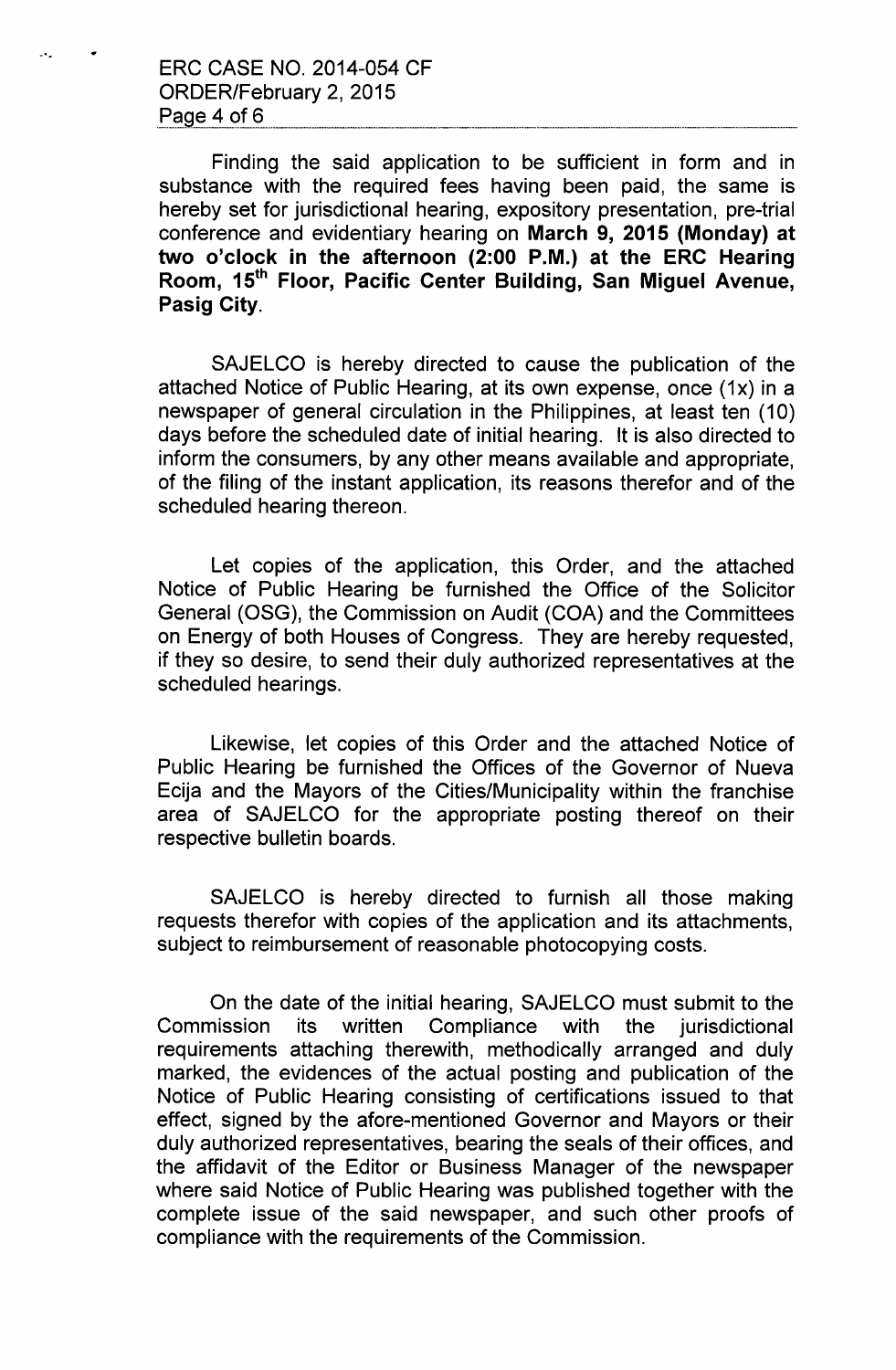ERC CASE NO. 2014-054 CF ORDER/February 2, 2015 Page 4 of 6

.. '.

Finding the said application to be sufficient in form and in substance with the required fees having been paid, the same is hereby set for jurisdictional hearing, expository presentation, pre-trial conference and evidentiary hearing on March 9, 2015 (Monday) at two o'clock in the afternoon (2:00 P.M.) at the ERC Hearing Room, 15<sup>th</sup> Floor, Pacific Center Building, San Miguel Avenue, Pasig City.

SAJELCO is hereby directed to cause the publication of the attached Notice of Public Hearing, at its own expense, once (1x) in a newspaper of general circulation in the Philippines, at least ten (10) days before the scheduled date of initial hearing. It is also directed to inform the consumers, by any other means available and appropriate, of the filing of the instant application, its reasons therefor and of the scheduled hearing thereon.

Let copies of the application, this Order, and the attached Notice of Public Hearing be furnished the Office of the Solicitor General (OSG), the Commission on Audit (COA) and the Committees on Energy of both Houses of Congress. They are hereby requested, if they so desire, to send their duly authorized representatives at the scheduled hearings.

Likewise, let copies of this Order and the attached Notice of Public Hearing be furnished the Offices of the Governor of Nueva Ecija and the Mayors of the Cities/Municipality within the franchise area of SAJELCO for the appropriate posting thereof on their respective bulletin boards.

SAJELCO is hereby directed to furnish all those making requests therefor with copies of the application and its attachments, subject to reimbursement of reasonable photocopying costs.

On the date of the initial hearing, SAJELCO must submit to the Commission its written Compliance with the jurisdictional requirements attaching therewith, methodically arranged and duly marked, the evidences of the actual posting and publication of the Notice of Public Hearing consisting of certifications issued to that effect, signed by the afore-mentioned Governor and Mayors or their duly authorized representatives, bearing the seals of their offices, and the affidavit of the Editor or Business Manager of the newspaper where said Notice of Public Hearing was published together with the complete issue of the said newspaper, and such other proofs of compliance with the requirements of the Commission.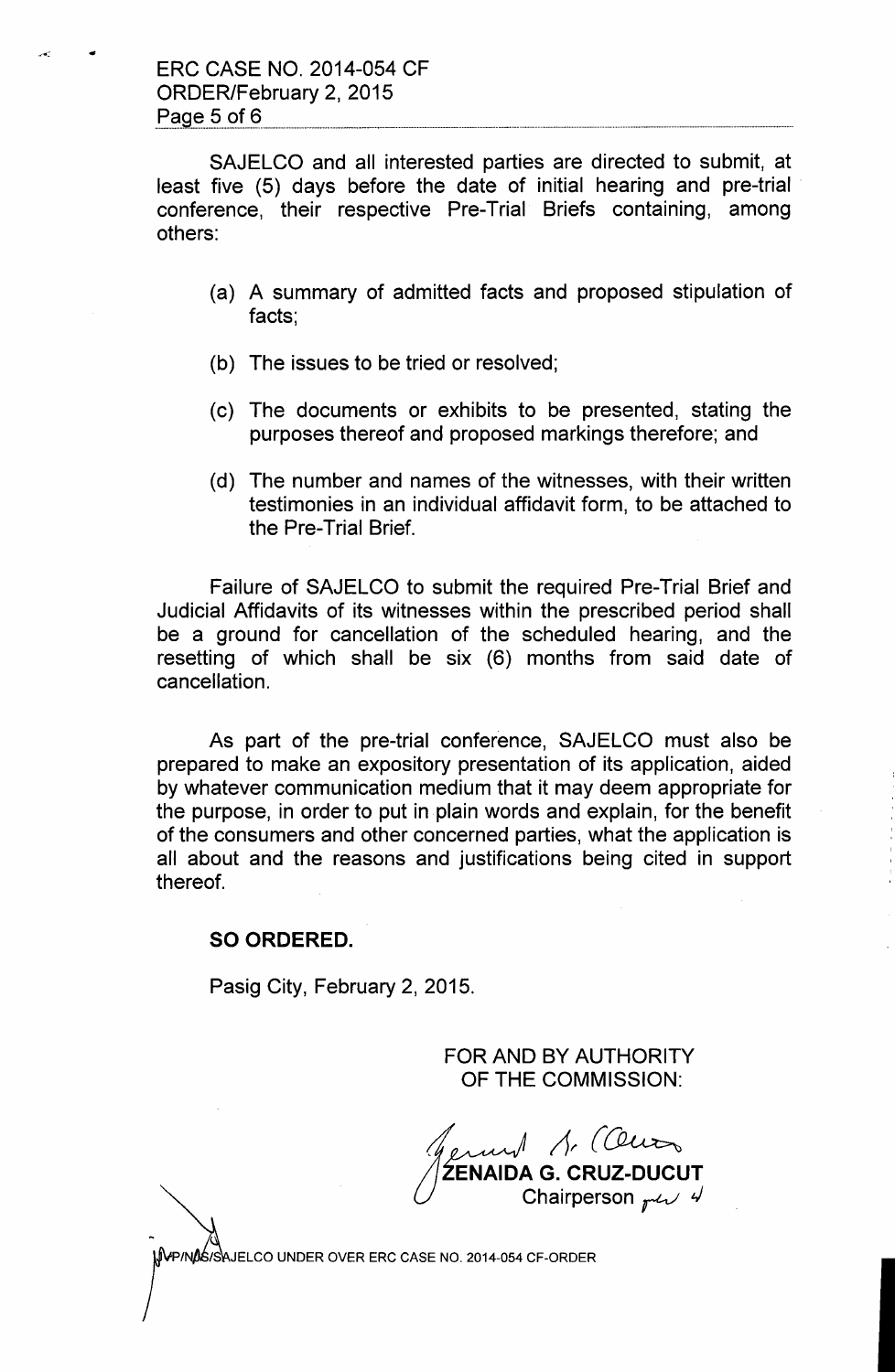SAJELCO and all interested parties are directed to submit, at least five (5) days before the date of initial hearing and pre-trial conference, their respective Pre-Trial Briefs containing, among others:

- (a) A summary of admitted facts and proposed stipulation of facts;
- (b) The issues to be tried or resolved;
- (c) The documents or exhibits to be presented, stating the purposes thereof and proposed markings therefore; and
- (d) The number and names of the witnesses, with their written testimonies in an individual affidavit form, to be attached to the Pre-Trial Brief.

Failure of SAJELCO to submit the required Pre-Trial Brief and Judicial Affidavits of its witnesses within the prescribed period shall be a ground for cancellation of the scheduled hearing, and the resetting of which shall be six (6) months from said date of cancellation.

As part of the pre-trial conference, SAJELCO must also be prepared to make an expository presentation of its application, aided by whatever communication medium that it may deem appropriate for the purpose, in order to put in plain words and explain, for the benefit of the consumers and other concerned parties, what the application is all about and the reasons and justifications being cited in support thereof.

### SO ORDERED.

Pasig City, February 2, 2015.

FOR AND BY AUTHORITY OF THE COMMISSION:

*f*<br>ZENAIDA G. CRUZ-DUCUT  $\Lambda$ . (Censo Chairperson  $_{r}$ u $\vee$  4

VP/NOS/SAJELCO UNDER OVER ERC CASE NO. 2014-054 CF-ORDER